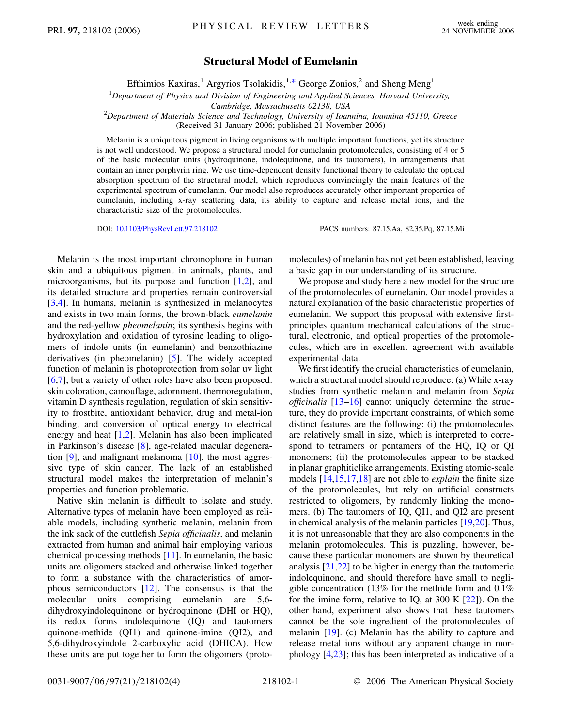## **Structural Model of Eumelanin**

Efthimios Kaxiras,<sup>1</sup> Argyrios Tsolakidis,<sup>1[,\\*](#page-3-0)</sup> George Zonios,<sup>2</sup> and Sheng Meng<sup>1</sup>

<span id="page-0-0"></span>1 *Department of Physics and Division of Engineering and Applied Sciences, Harvard University,*

*Cambridge, Massachusetts 02138, USA* <sup>2</sup> *Department of Materials Science and Technology, University of Ioannina, Ioannina 45110, Greece*

(Received 31 January 2006; published 21 November 2006)

Melanin is a ubiquitous pigment in living organisms with multiple important functions, yet its structure is not well understood. We propose a structural model for eumelanin protomolecules, consisting of 4 or 5 of the basic molecular units (hydroquinone, indolequinone, and its tautomers), in arrangements that contain an inner porphyrin ring. We use time-dependent density functional theory to calculate the optical absorption spectrum of the structural model, which reproduces convincingly the main features of the experimental spectrum of eumelanin. Our model also reproduces accurately other important properties of eumelanin, including x-ray scattering data, its ability to capture and release metal ions, and the characteristic size of the protomolecules.

DOI: [10.1103/PhysRevLett.97.218102](http://dx.doi.org/10.1103/PhysRevLett.97.218102) PACS numbers: 87.15.Aa, 82.35.Pq, 87.15.Mi

Melanin is the most important chromophore in human skin and a ubiquitous pigment in animals, plants, and microorganisms, but its purpose and function [\[1,](#page-3-1)[2](#page-3-2)], and its detailed structure and properties remain controversial [\[3,](#page-3-3)[4](#page-3-4)]. In humans, melanin is synthesized in melanocytes and exists in two main forms, the brown-black *eumelanin* and the red-yellow *pheomelanin*; its synthesis begins with hydroxylation and oxidation of tyrosine leading to oligomers of indole units (in eumelanin) and benzothiazine derivatives (in pheomelanin) [\[5](#page-3-5)]. The widely accepted function of melanin is photoprotection from solar uv light [\[6,](#page-3-6)[7](#page-3-7)], but a variety of other roles have also been proposed: skin coloration, camouflage, adornment, thermoregulation, vitamin D synthesis regulation, regulation of skin sensitivity to frostbite, antioxidant behavior, drug and metal-ion binding, and conversion of optical energy to electrical energy and heat [\[1,](#page-3-1)[2](#page-3-2)]. Melanin has also been implicated in Parkinson's disease [\[8](#page-3-8)], age-related macular degeneration [\[9\]](#page-3-9), and malignant melanoma [[10](#page-3-10)], the most aggressive type of skin cancer. The lack of an established structural model makes the interpretation of melanin's properties and function problematic.

Native skin melanin is difficult to isolate and study. Alternative types of melanin have been employed as reliable models, including synthetic melanin, melanin from the ink sack of the cuttlefish *Sepia officinalis*, and melanin extracted from human and animal hair employing various chemical processing methods [\[11\]](#page-3-11). In eumelanin, the basic units are oligomers stacked and otherwise linked together to form a substance with the characteristics of amorphous semiconductors [[12](#page-3-12)]. The consensus is that the molecular units comprising eumelanin are 5,6 dihydroxyindolequinone or hydroquinone (DHI or HQ), its redox forms indolequinone (IQ) and tautomers quinone-methide (QI1) and quinone-imine (QI2), and 5,6-dihydroxyindole 2-carboxylic acid (DHICA). How these units are put together to form the oligomers (protomolecules) of melanin has not yet been established, leaving a basic gap in our understanding of its structure.

We propose and study here a new model for the structure of the protomolecules of eumelanin. Our model provides a natural explanation of the basic characteristic properties of eumelanin. We support this proposal with extensive firstprinciples quantum mechanical calculations of the structural, electronic, and optical properties of the protomolecules, which are in excellent agreement with available experimental data.

We first identify the crucial characteristics of eumelanin, which a structural model should reproduce: (a) While x-ray studies from synthetic melanin and melanin from *Sepia officinalis* [\[13](#page-3-13)–[16](#page-3-14)] cannot uniquely determine the structure, they do provide important constraints, of which some distinct features are the following: (i) the protomolecules are relatively small in size, which is interpreted to correspond to tetramers or pentamers of the HQ, IQ or QI monomers; (ii) the protomolecules appear to be stacked in planar graphiticlike arrangements. Existing atomic-scale models [\[14,](#page-3-15)[15,](#page-3-16)[17](#page-3-17),[18](#page-3-18)] are not able to *explain* the finite size of the protomolecules, but rely on artificial constructs restricted to oligomers, by randomly linking the monomers. (b) The tautomers of IQ, QI1, and QI2 are present in chemical analysis of the melanin particles [[19](#page-3-19),[20](#page-3-20)]. Thus, it is not unreasonable that they are also components in the melanin protomolecules. This is puzzling, however, because these particular monomers are shown by theoretical analysis [[21](#page-3-21),[22](#page-3-22)] to be higher in energy than the tautomeric indolequinone, and should therefore have small to negligible concentration (13% for the methide form and 0.1% for the imine form, relative to IQ, at 300 K [[22](#page-3-22)]). On the other hand, experiment also shows that these tautomers cannot be the sole ingredient of the protomolecules of melanin [\[19\]](#page-3-19). (c) Melanin has the ability to capture and release metal ions without any apparent change in morphology [[4](#page-3-4)[,23\]](#page-3-23); this has been interpreted as indicative of a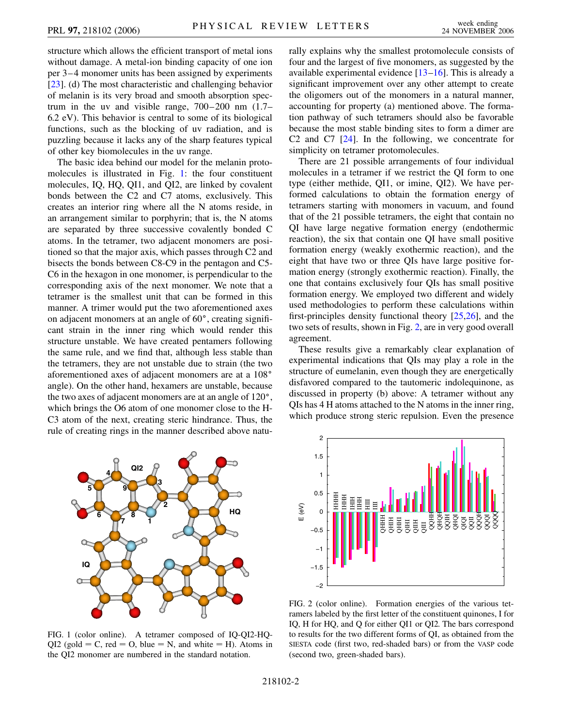structure which allows the efficient transport of metal ions without damage. A metal-ion binding capacity of one ion per 3–4 monomer units has been assigned by experiments [\[23\]](#page-3-23). (d) The most characteristic and challenging behavior of melanin is its very broad and smooth absorption spectrum in the uv and visible range, 700–200 nm (1.7– 6.2 eV). This behavior is central to some of its biological functions, such as the blocking of uv radiation, and is puzzling because it lacks any of the sharp features typical of other key biomolecules in the uv range.

The basic idea behind our model for the melanin protomolecules is illustrated in Fig. [1](#page-1-0): the four constituent molecules, IQ, HQ, QI1, and QI2, are linked by covalent bonds between the C2 and C7 atoms, exclusively. This creates an interior ring where all the N atoms reside, in an arrangement similar to porphyrin; that is, the N atoms are separated by three successive covalently bonded C atoms. In the tetramer, two adjacent monomers are positioned so that the major axis, which passes through C2 and bisects the bonds between C8-C9 in the pentagon and C5- C6 in the hexagon in one monomer, is perpendicular to the corresponding axis of the next monomer. We note that a tetramer is the smallest unit that can be formed in this manner. A trimer would put the two aforementioned axes on adjacent monomers at an angle of  $60^{\circ}$ , creating significant strain in the inner ring which would render this structure unstable. We have created pentamers following the same rule, and we find that, although less stable than the tetramers, they are not unstable due to strain (the two aforementioned axes of adjacent monomers are at a 108 angle). On the other hand, hexamers are unstable, because the two axes of adjacent monomers are at an angle of  $120^{\circ}$ , which brings the O6 atom of one monomer close to the H-C3 atom of the next, creating steric hindrance. Thus, the rule of creating rings in the manner described above naturally explains why the smallest protomolecule consists of four and the largest of five monomers, as suggested by the available experimental evidence  $[13-16]$  $[13-16]$  $[13-16]$ . This is already a significant improvement over any other attempt to create the oligomers out of the monomers in a natural manner, accounting for property (a) mentioned above. The formation pathway of such tetramers should also be favorable because the most stable binding sites to form a dimer are C2 and C7 [[24](#page-3-24)]. In the following, we concentrate for simplicity on tetramer protomolecules.

There are 21 possible arrangements of four individual molecules in a tetramer if we restrict the QI form to one type (either methide, QI1, or imine, QI2). We have performed calculations to obtain the formation energy of tetramers starting with monomers in vacuum, and found that of the 21 possible tetramers, the eight that contain no QI have large negative formation energy (endothermic reaction), the six that contain one QI have small positive formation energy (weakly exothermic reaction), and the eight that have two or three QIs have large positive formation energy (strongly exothermic reaction). Finally, the one that contains exclusively four QIs has small positive formation energy. We employed two different and widely used methodologies to perform these calculations within first-principles density functional theory [[25](#page-3-25),[26](#page-3-26)], and the two sets of results, shown in Fig. [2](#page-1-1), are in very good overall agreement.

These results give a remarkably clear explanation of experimental indications that QIs may play a role in the structure of eumelanin, even though they are energetically disfavored compared to the tautomeric indolequinone, as discussed in property (b) above: A tetramer without any QIs has 4 H atoms attached to the N atoms in the inner ring, which produce strong steric repulsion. Even the presence

<span id="page-1-0"></span>

FIG. 1 (color online). A tetramer composed of IQ-QI2-HQ- $QI2$  (gold = C, red = O, blue = N, and white = H). Atoms in the QI2 monomer are numbered in the standard notation.

<span id="page-1-1"></span>

FIG. 2 (color online). Formation energies of the various tetramers labeled by the first letter of the constituent quinones, I for IQ, H for HQ, and Q for either QI1 or QI2. The bars correspond to results for the two different forms of QI, as obtained from the SIESTA code (first two, red-shaded bars) or from the VASP code (second two, green-shaded bars).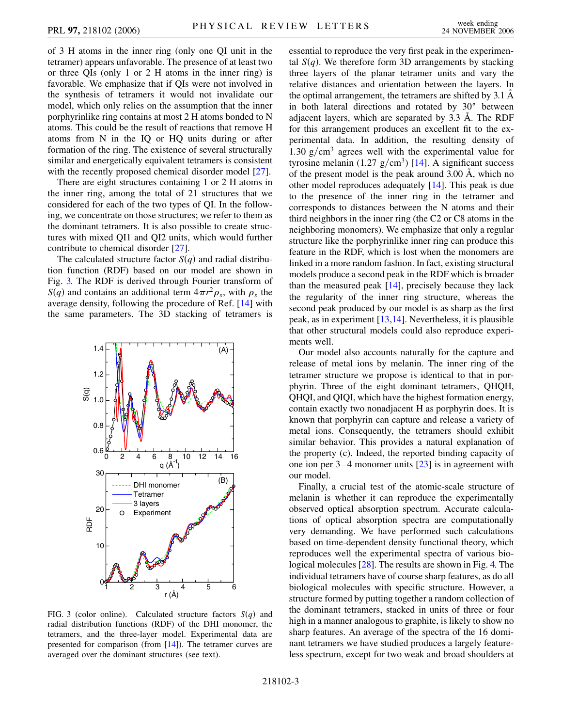of 3 H atoms in the inner ring (only one QI unit in the tetramer) appears unfavorable. The presence of at least two or three QIs (only 1 or 2 H atoms in the inner ring) is favorable. We emphasize that if QIs were not involved in the synthesis of tetramers it would not invalidate our model, which only relies on the assumption that the inner porphyrinlike ring contains at most 2 H atoms bonded to N atoms. This could be the result of reactions that remove H atoms from N in the IQ or HQ units during or after formation of the ring. The existence of several structurally similar and energetically equivalent tetramers is consistent with the recently proposed chemical disorder model [[27](#page-3-27)].

There are eight structures containing 1 or 2 H atoms in the inner ring, among the total of 21 structures that we considered for each of the two types of QI. In the following, we concentrate on those structures; we refer to them as the dominant tetramers. It is also possible to create structures with mixed QI1 and QI2 units, which would further contribute to chemical disorder [\[27\]](#page-3-27).

The calculated structure factor  $S(q)$  and radial distribution function (RDF) based on our model are shown in Fig. [3.](#page-2-0) The RDF is derived through Fourier transform of *S*(*q*) and contains an additional term  $4\pi r^2 \rho_s$ , with  $\rho_s$  the average density, following the procedure of Ref. [[14](#page-3-15)] with the same parameters. The 3D stacking of tetramers is

<span id="page-2-0"></span>

FIG. 3 (color online). Calculated structure factors  $S(q)$  and radial distribution functions (RDF) of the DHI monomer, the tetramers, and the three-layer model. Experimental data are presented for comparison (from [\[14\]](#page-3-15)). The tetramer curves are averaged over the dominant structures (see text).

essential to reproduce the very first peak in the experimental  $S(q)$ . We therefore form 3D arrangements by stacking three layers of the planar tetramer units and vary the relative distances and orientation between the layers. In the optimal arrangement, the tetramers are shifted by  $3.1 \text{ Å}$ in both lateral directions and rotated by  $30^\circ$  between adjacent layers, which are separated by 3.3 A. The RDF for this arrangement produces an excellent fit to the experimental data. In addition, the resulting density of 1.30  $g/cm<sup>3</sup>$  agrees well with the experimental value for tyrosine melanin  $(1.27 \text{ g/cm}^3)$  [[14](#page-3-15)]. A significant success of the present model is the peak around  $3.00 \text{ Å}$ , which no other model reproduces adequately [\[14\]](#page-3-15). This peak is due to the presence of the inner ring in the tetramer and corresponds to distances between the N atoms and their third neighbors in the inner ring (the C2 or C8 atoms in the neighboring monomers). We emphasize that only a regular structure like the porphyrinlike inner ring can produce this feature in the RDF, which is lost when the monomers are linked in a more random fashion. In fact, existing structural models produce a second peak in the RDF which is broader than the measured peak [\[14\]](#page-3-15), precisely because they lack the regularity of the inner ring structure, whereas the second peak produced by our model is as sharp as the first peak, as in experiment [\[13,](#page-3-13)[14\]](#page-3-15). Nevertheless, it is plausible that other structural models could also reproduce experiments well.

Our model also accounts naturally for the capture and release of metal ions by melanin. The inner ring of the tetramer structure we propose is identical to that in porphyrin. Three of the eight dominant tetramers, QHQH, QHQI, and QIQI, which have the highest formation energy, contain exactly two nonadjacent H as porphyrin does. It is known that porphyrin can capture and release a variety of metal ions. Consequently, the tetramers should exhibit similar behavior. This provides a natural explanation of the property (c). Indeed, the reported binding capacity of one ion per 3–4 monomer units [[23](#page-3-23)] is in agreement with our model.

Finally, a crucial test of the atomic-scale structure of melanin is whether it can reproduce the experimentally observed optical absorption spectrum. Accurate calculations of optical absorption spectra are computationally very demanding. We have performed such calculations based on time-dependent density functional theory, which reproduces well the experimental spectra of various biological molecules [\[28\]](#page-3-28). The results are shown in Fig. [4.](#page-3-29) The individual tetramers have of course sharp features, as do all biological molecules with specific structure. However, a structure formed by putting together a random collection of the dominant tetramers, stacked in units of three or four high in a manner analogous to graphite, is likely to show no sharp features. An average of the spectra of the 16 dominant tetramers we have studied produces a largely featureless spectrum, except for two weak and broad shoulders at